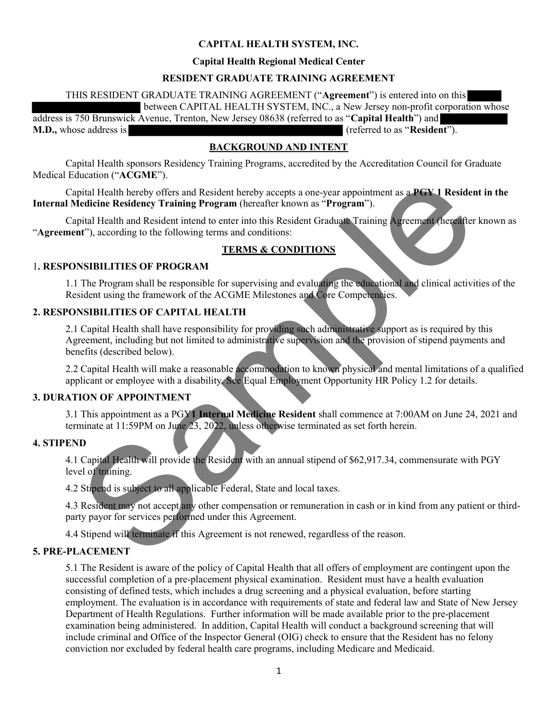## CAPITAL HEALTH SYSTEM, INC.

### Capital Health Regional Medical Center

## RESIDENT GRADUATE TRAINING AGREEMENT

THIS RESIDENT GRADUATE TRAINING AGREEMENT ("Agreement") is entered into on this

between CAPITAL HEALTH SYSTEM, INC., a New Jersey non-profit corporation whose

address is 750 Brunswick Avenue, Trenton, New Jersey 08638 (referred to as "Capital Health") and M.D., whose address is (referred to as "Resident").

## BACKGROUND AND INTENT

Capital Health sponsors Residency Training Programs, accredited by the Accreditation Council for Graduate Medical Education ("ACGME").

Capital Health hereby offers and Resident hereby accepts a one-year appointment as a PGY 1 Resident in the Internal Medicine Residency Training Program (hereafter known as "Program").

Capital Health and Resident intend to enter into this Resident Graduate Training Agreement (hereafter known as "Agreement"), according to the following terms and conditions:

### TERMS & CONDITIONS

## 1. RESPONSIBILITIES OF PROGRAM

1.1 The Program shall be responsible for supervising and evaluating the educational and clinical activities of the Resident using the framework of the ACGME Milestones and Core Competencies.

## 2. RESPONSIBILITIES OF CAPITAL HEALTH

pital Health hereby offers and Resident hereby accepts a one-year appointment as a PGV 1 Residential Health hereby offers and Resident hereby accepts a one-year appointment as a PGV 1 Resident including the program (hereaf 2.1 Capital Health shall have responsibility for providing such administrative support as is required by this Agreement, including but not limited to administrative supervision and the provision of stipend payments and benefits (described below).

2.2 Capital Health will make a reasonable accommodation to known physical and mental limitations of a qualified applicant or employee with a disability. See Equal Employment Opportunity HR Policy 1.2 for details.

## 3. DURATION OF APPOINTMENT

3.1 This appointment as a PGY1 Internal Medicine Resident shall commence at 7:00AM on June 24, 2021 and terminate at 11:59PM on June 23, 2022, unless otherwise terminated as set forth herein.

### 4. STIPEND

4.1 Capital Health will provide the Resident with an annual stipend of \$62,917.34, commensurate with PGY level of training.

4.2 Stipend is subject to all applicable Federal, State and local taxes.

4.3 Resident may not accept any other compensation or remuneration in cash or in kind from any patient or thirdparty payor for services performed under this Agreement.

4.4 Stipend will terminate if this Agreement is not renewed, regardless of the reason.

### 5. PRE-PLACEMENT

5.1 The Resident is aware of the policy of Capital Health that all offers of employment are contingent upon the successful completion of a pre-placement physical examination. Resident must have a health evaluation consisting of defined tests, which includes a drug screening and a physical evaluation, before starting employment. The evaluation is in accordance with requirements of state and federal law and State of New Jersey Department of Health Regulations. Further information will be made available prior to the pre-placement examination being administered. In addition, Capital Health will conduct a background screening that will include criminal and Office of the Inspector General (OIG) check to ensure that the Resident has no felony conviction nor excluded by federal health care programs, including Medicare and Medicaid.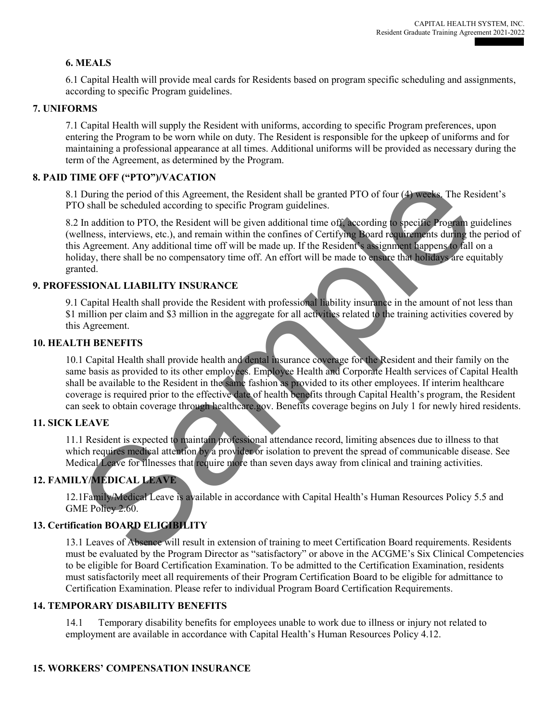## 6. MEALS

6.1 Capital Health will provide meal cards for Residents based on program specific scheduling and assignments, according to specific Program guidelines.

### 7. UNIFORMS

7.1 Capital Health will supply the Resident with uniforms, according to specific Program preferences, upon entering the Program to be worn while on duty. The Resident is responsible for the upkeep of uniforms and for maintaining a professional appearance at all times. Additional uniforms will be provided as necessary during the term of the Agreement, as determined by the Program.

## 8. PAID TIME OFF ("PTO")/VACATION

8.1 During the period of this Agreement, the Resident shall be granted PTO of four (4) weeks. The Resident's PTO shall be scheduled according to specific Program guidelines.

Fina OPT (11 TO y YACETITS)<br>
During the period of this Agreement, the Resident shall be granted PTO of four (4) weeks. The Res<br>
During the period of this Agreement, the Begiven additional time of  $\vec{F}$  recording to spec 8.2 In addition to PTO, the Resident will be given additional time off, according to specific Program guidelines (wellness, interviews, etc.), and remain within the confines of Certifying Board requirements during the period of this Agreement. Any additional time off will be made up. If the Resident's assignment happens to fall on a holiday, there shall be no compensatory time off. An effort will be made to ensure that holidays are equitably granted.

## 9. PROFESSIONAL LIABILITY INSURANCE

9.1 Capital Health shall provide the Resident with professional liability insurance in the amount of not less than \$1 million per claim and \$3 million in the aggregate for all activities related to the training activities covered by this Agreement.

### 10. HEALTH BENEFITS

10.1 Capital Health shall provide health and dental insurance coverage for the Resident and their family on the same basis as provided to its other employees. Employee Health and Corporate Health services of Capital Health shall be available to the Resident in the same fashion as provided to its other employees. If interim healthcare coverage is required prior to the effective date of health benefits through Capital Health's program, the Resident can seek to obtain coverage through healthcare.gov. Benefits coverage begins on July 1 for newly hired residents.

### 11. SICK LEAVE

11.1 Resident is expected to maintain professional attendance record, limiting absences due to illness to that which requires medical attention by a provider or isolation to prevent the spread of communicable disease. See Medical Leave for illnesses that require more than seven days away from clinical and training activities.

## 12. FAMILY/MEDICAL LEAVE

12.1Family/Medical Leave is available in accordance with Capital Health's Human Resources Policy 5.5 and GME Policy 2.60.

## 13. Certification BOARD ELIGIBILITY

13.1 Leaves of Absence will result in extension of training to meet Certification Board requirements. Residents must be evaluated by the Program Director as "satisfactory" or above in the ACGME's Six Clinical Competencies to be eligible for Board Certification Examination. To be admitted to the Certification Examination, residents must satisfactorily meet all requirements of their Program Certification Board to be eligible for admittance to Certification Examination. Please refer to individual Program Board Certification Requirements.

### 14. TEMPORARY DISABILITY BENEFITS

14.1 Temporary disability benefits for employees unable to work due to illness or injury not related to employment are available in accordance with Capital Health's Human Resources Policy 4.12.

### 15. WORKERS' COMPENSATION INSURANCE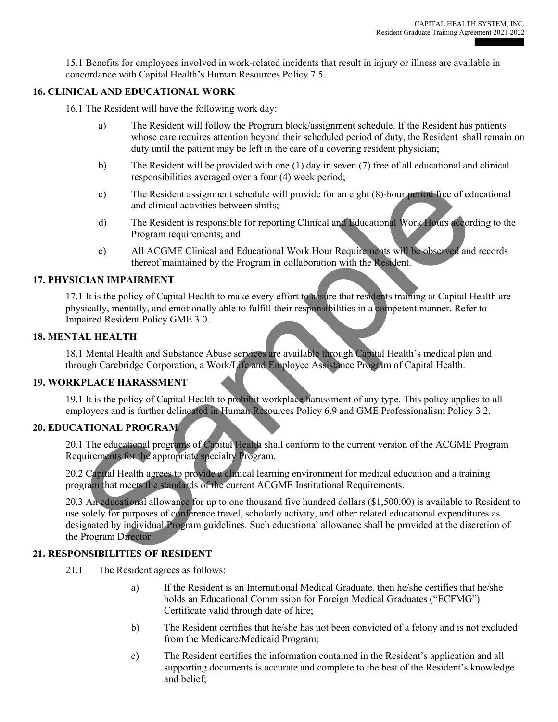15.1 Benefits for employees involved in work-related incidents that result in injury or illness are available in concordance with Capital Health's Human Resources Policy 7.5.

## 16. CLINICAL AND EDUCATIONAL WORK

16.1 The Resident will have the following work day:

- a) The Resident will follow the Program block/assignment schedule. If the Resident has patients whose care requires attention beyond their scheduled period of duty, the Resident shall remain on duty until the patient may be left in the care of a covering resident physician;
- b) The Resident will be provided with one (1) day in seven (7) free of all educational and clinical responsibilities averaged over a four (4) week period;
- c) The Resident assignment schedule will provide for an eight (8)-hour period free of educational and clinical activities between shifts;
- d) The Resident is responsible for reporting Clinical and Educational Work Hours according to the Program requirements; and
- e) All ACGME Clinical and Educational Work Hour Requirements will be observed and records thereof maintained by the Program in collaboration with the Resident.

### 17. PHYSICIAN IMPAIRMENT

17.1 It is the policy of Capital Health to make every effort to assure that residents training at Capital Health are physically, mentally, and emotionally able to fulfill their responsibilities in a competent manner. Refer to Impaired Resident Policy GME 3.0.

### 18. MENTAL HEALTH

18.1 Mental Health and Substance Abuse services are available through Capital Health's medical plan and through Carebridge Corporation, a Work/Life and Employee Assistance Program of Capital Health.

### 19. WORKPLACE HARASSMENT

19.1 It is the policy of Capital Health to prohibit workplace harassment of any type. This policy applies to all employees and is further delineated in Human Resources Policy 6.9 and GME Professionalism Policy 3.2.

## 20. EDUCATIONAL PROGRAM

20.1 The educational programs of Capital Health shall conform to the current version of the ACGME Program Requirements for the appropriate specialty Program.

20.2 Capital Health agrees to provide a clinical learning environment for medical education and a training program that meets the standards of the current ACGME Institutional Requirements.

Considerate assignment schedule will provide for an eight (8)-hour performance of educational and clinical activities between shifts;<br>
d) The Resident is responsible for reporting Clinical and Educational Work Hours accord 20.3 An educational allowance for up to one thousand five hundred dollars (\$1,500.00) is available to Resident to use solely for purposes of conference travel, scholarly activity, and other related educational expenditures as designated by individual Program guidelines. Such educational allowance shall be provided at the discretion of the Program Director.

### 21. RESPONSIBILITIES OF RESIDENT

- 21.1 The Resident agrees as follows:
	- a) If the Resident is an International Medical Graduate, then he/she certifies that he/she holds an Educational Commission for Foreign Medical Graduates ("ECFMG") Certificate valid through date of hire;
	- b) The Resident certifies that he/she has not been convicted of a felony and is not excluded from the Medicare/Medicaid Program;
	- c) The Resident certifies the information contained in the Resident's application and all supporting documents is accurate and complete to the best of the Resident's knowledge and belief;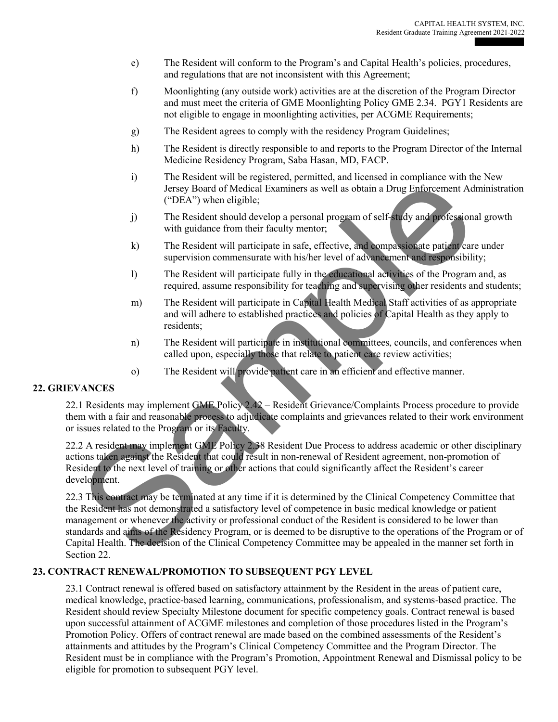- e) The Resident will conform to the Program's and Capital Health's policies, procedures, and regulations that are not inconsistent with this Agreement;
- f) Moonlighting (any outside work) activities are at the discretion of the Program Director and must meet the criteria of GME Moonlighting Policy GME 2.34. PGY1 Residents are not eligible to engage in moonlighting activities, per ACGME Requirements;
- g) The Resident agrees to comply with the residency Program Guidelines;
- h) The Resident is directly responsible to and reports to the Program Director of the Internal Medicine Residency Program, Saba Hasan, MD, FACP.
- i) The Resident will be registered, permitted, and licensed in compliance with the New Jersey Board of Medical Examiners as well as obtain a Drug Enforcement Administration ("DEA") when eligible;
- j) The Resident should develop a personal program of self-study and professional growth with guidance from their faculty mentor;
- k) The Resident will participate in safe, effective, and compassionate patient care under supervision commensurate with his/her level of advancement and responsibility;
- l) The Resident will participate fully in the educational activities of the Program and, as required, assume responsibility for teaching and supervising other residents and students;
- m) The Resident will participate in Capital Health Medical Staff activities of as appropriate and will adhere to established practices and policies of Capital Health as they apply to residents;
- n) The Resident will participate in institutional committees, councils, and conferences when called upon, especially those that relate to patient care review activities;
- o) The Resident will provide patient care in an efficient and effective manner.

### 22. GRIEVANCES

22.1 Residents may implement GME Policy 2.42 – Resident Grievance/Complaints Process procedure to provide them with a fair and reasonable process to adjudicate complaints and grievances related to their work environment or issues related to the Program or its Faculty.

22.2 A resident may implement GME Policy 2.38 Resident Due Process to address academic or other disciplinary actions taken against the Resident that could result in non-renewal of Resident agreement, non-promotion of Resident to the next level of training or other actions that could significantly affect the Resident's career development.

The Mostema with decided particles and notional technology of the Chinal Complete and the Chinal Companies and the Chinal Companies and the Resident with guidance from their faculty method of the Resident with guidance fro 22.3 This contract may be terminated at any time if it is determined by the Clinical Competency Committee that the Resident has not demonstrated a satisfactory level of competence in basic medical knowledge or patient management or whenever the activity or professional conduct of the Resident is considered to be lower than standards and aims of the Residency Program, or is deemed to be disruptive to the operations of the Program or of Capital Health. The decision of the Clinical Competency Committee may be appealed in the manner set forth in Section 22.

### 23. CONTRACT RENEWAL/PROMOTION TO SUBSEQUENT PGY LEVEL

23.1 Contract renewal is offered based on satisfactory attainment by the Resident in the areas of patient care, medical knowledge, practice-based learning, communications, professionalism, and systems-based practice. The Resident should review Specialty Milestone document for specific competency goals. Contract renewal is based upon successful attainment of ACGME milestones and completion of those procedures listed in the Program's Promotion Policy. Offers of contract renewal are made based on the combined assessments of the Resident's attainments and attitudes by the Program's Clinical Competency Committee and the Program Director. The Resident must be in compliance with the Program's Promotion, Appointment Renewal and Dismissal policy to be eligible for promotion to subsequent PGY level.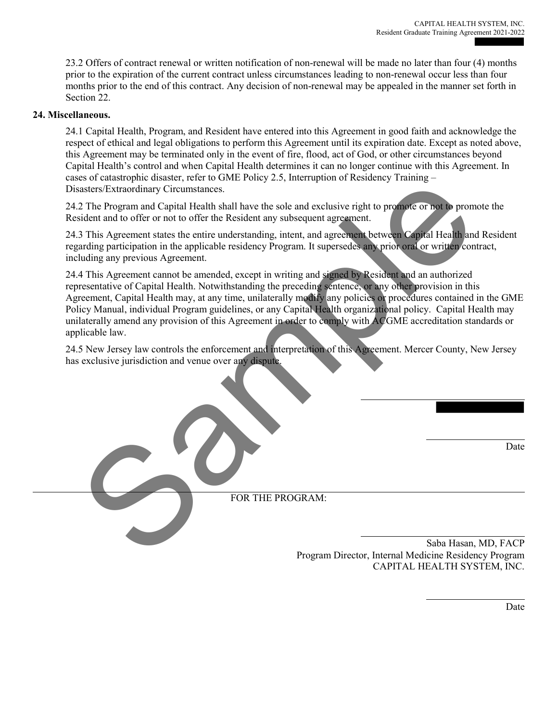23.2 Offers of contract renewal or written notification of non-renewal will be made no later than four (4) months prior to the expiration of the current contract unless circumstances leading to non-renewal occur less than four months prior to the end of this contract. Any decision of non-renewal may be appealed in the manner set forth in Section 22.

#### 24. Miscellaneous.

24.1 Capital Health, Program, and Resident have entered into this Agreement in good faith and acknowledge the respect of ethical and legal obligations to perform this Agreement until its expiration date. Except as noted above, this Agreement may be terminated only in the event of fire, flood, act of God, or other circumstances beyond Capital Health's control and when Capital Health determines it can no longer continue with this Agreement. In cases of catastrophic disaster, refer to GME Policy 2.5, Interruption of Residency Training – Disasters/Extraordinary Circumstances.

24.2 The Program and Capital Health shall have the sole and exclusive right to promote or not to promote the Resident and to offer or not to offer the Resident any subsequent agreement.

24.3 This Agreement states the entire understanding, intent, and agreement between Capital Health and Resident regarding participation in the applicable residency Program. It supersedes any prior oral or written contract, including any previous Agreement.

So to cancel of the contract a contract the contract of the contract of the contract of the contract and to offer the Resident and the contract of the contract and the contract of the contract of the contract of the contra 24.4 This Agreement cannot be amended, except in writing and signed by Resident and an authorized representative of Capital Health. Notwithstanding the preceding sentence, or any other provision in this Agreement, Capital Health may, at any time, unilaterally modify any policies or procedures contained in the GME Policy Manual, individual Program guidelines, or any Capital Health organizational policy. Capital Health may unilaterally amend any provision of this Agreement in order to comply with ACGME accreditation standards or applicable law.

24.5 New Jersey law controls the enforcement and interpretation of this Agreement. Mercer County, New Jersey has exclusive jurisdiction and venue over any dispute.

 $\overline{\phantom{a}}$ 

Date

FOR THE PROGRAM:

 $\overline{\phantom{a}}$ Saba Hasan, MD, FACP Program Director, Internal Medicine Residency Program CAPITAL HEALTH SYSTEM, INC.

 $\overline{a}$ 

 $\overline{\phantom{a}}$ 

Date